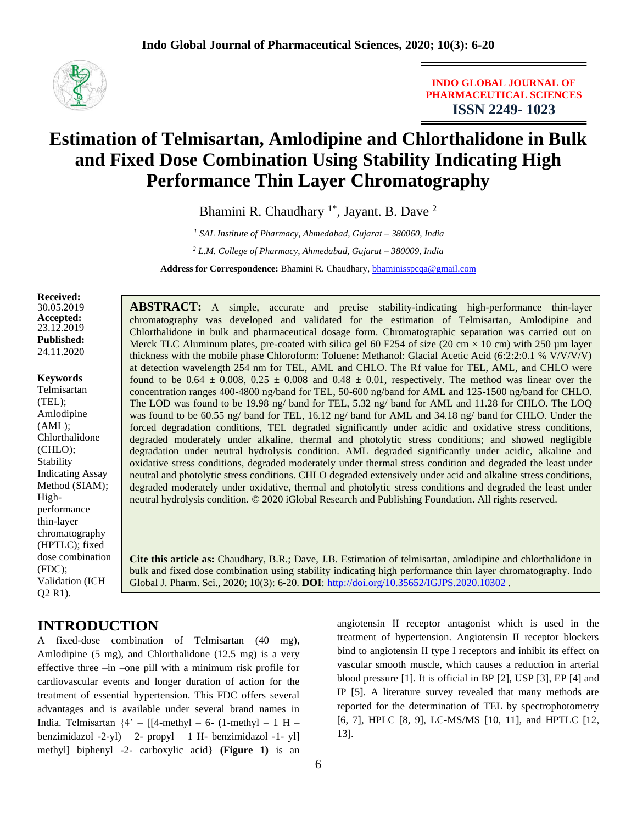

**INDO GLOBAL JOURNAL OF PHARMACEUTICAL SCIENCES ISSN 2249- 1023**

# **Estimation of Telmisartan, Amlodipine and Chlorthalidone in Bulk and Fixed Dose Combination Using Stability Indicating High Performance Thin Layer Chromatography**

Bhamini R. Chaudhary<sup>1\*</sup>, Jayant. B. Dave<sup>2</sup>

*<sup>1</sup> SAL Institute of Pharmacy, Ahmedabad, Gujarat – 380060, India*

*<sup>2</sup> L.M. College of Pharmacy, Ahmedabad, Gujarat – 380009, India*

**Address for Correspondence:** Bhamini R. Chaudhary, [bhaminisspcqa@gmail.com](mailto:bhaminisspcqa@gmail.com)

**Received:**  30.05.2019 **Accepted:**  23.12.2019 **Published:** 24.11.2020

#### **Keywords**

Telmisartan (TEL); Amlodipine (AML); Chlorthalidone (CHLO); Stability Indicating Assay Method (SIAM); Highperformance thin-layer chromatography (HPTLC); fixed dose combination (FDC); Validation (ICH Q2 R1).

**ABSTRACT:** A simple, accurate and precise stability-indicating high-performance thin-layer chromatography was developed and validated for the estimation of Telmisartan, Amlodipine and Chlorthalidone in bulk and pharmaceutical dosage form. Chromatographic separation was carried out on Merck TLC Aluminum plates, pre-coated with silica gel 60 F254 of size (20 cm  $\times$  10 cm) with 250 µm layer thickness with the mobile phase Chloroform: Toluene: Methanol: Glacial Acetic Acid (6:2:2:0.1 % V/V/V/V) at detection wavelength 254 nm for TEL, AML and CHLO. The Rf value for TEL, AML, and CHLO were found to be  $0.64 \pm 0.008$ ,  $0.25 \pm 0.008$  and  $0.48 \pm 0.01$ , respectively. The method was linear over the concentration ranges 400-4800 ng/band for TEL, 50-600 ng/band for AML and 125-1500 ng/band for CHLO. The LOD was found to be 19.98 ng/ band for TEL, 5.32 ng/ band for AML and 11.28 for CHLO. The LOQ was found to be 60.55 ng/ band for TEL, 16.12 ng/ band for AML and 34.18 ng/ band for CHLO. Under the forced degradation conditions, TEL degraded significantly under acidic and oxidative stress conditions, degraded moderately under alkaline, thermal and photolytic stress conditions; and showed negligible degradation under neutral hydrolysis condition. AML degraded significantly under acidic, alkaline and oxidative stress conditions, degraded moderately under thermal stress condition and degraded the least under neutral and photolytic stress conditions. CHLO degraded extensively under acid and alkaline stress conditions, degraded moderately under oxidative, thermal and photolytic stress conditions and degraded the least under neutral hydrolysis condition. © 2020 iGlobal Research and Publishing Foundation. All rights reserved.

**Cite this article as:** Chaudhary, B.R.; Dave, J.B. Estimation of telmisartan, amlodipine and chlorthalidone in bulk and fixed dose combination using stability indicating high performance thin layer chromatography. Indo Global J. Pharm. Sci., 2020; 10(3): 6-20. **DOI**: <http://doi.org/10.35652/IGJPS.2020.10302> .

# **INTRODUCTION**

A fixed-dose combination of Telmisartan (40 mg), Amlodipine (5 mg), and Chlorthalidone (12.5 mg) is a very effective three –in –one pill with a minimum risk profile for cardiovascular events and longer duration of action for the treatment of essential hypertension. This FDC offers several advantages and is available under several brand names in India. Telmisartan  $\{4' - [[4-methyl - 6-(1-methyl - 1 H$ benzimidazol  $-2-yl$ ) – 2- propyl – 1 H- benzimidazol  $-1-yl$ ] methyl] biphenyl -2- carboxylic acid} **(Figure 1)** is an angiotensin II receptor antagonist which is used in the treatment of hypertension. Angiotensin II receptor blockers bind to angiotensin II type I receptors and inhibit its effect on vascular smooth muscle, which causes a reduction in arterial blood pressure [1]. It is official in BP [2], USP [3], EP [4] and IP [5]. A literature survey revealed that many methods are reported for the determination of TEL by spectrophotometry [6, 7], HPLC [8, 9], LC-MS/MS [10, 11], and HPTLC [12, 13].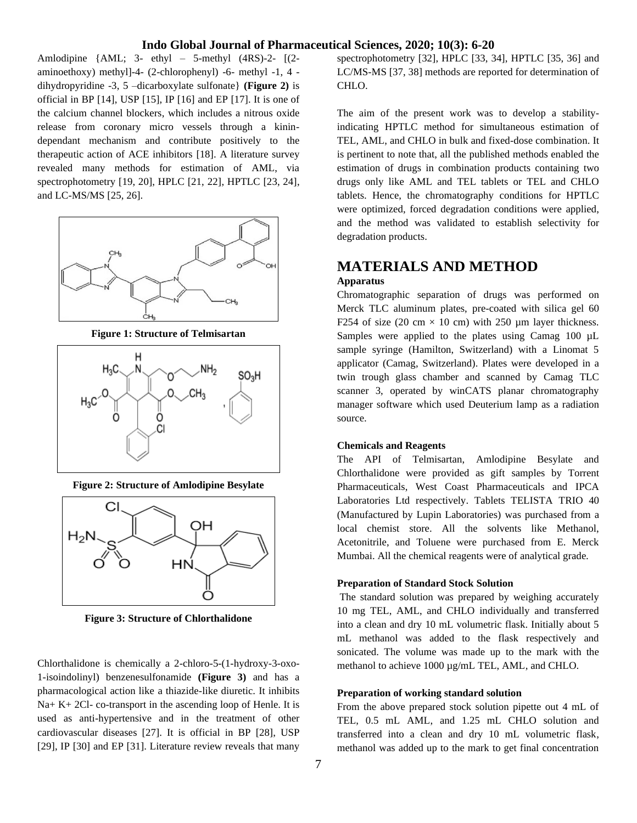Amlodipine  $\{AML; 3-ethyl - 5-methyl (4RS)-2- [(2$ aminoethoxy) methyl]-4- (2-chlorophenyl) -6- methyl -1, 4 dihydropyridine -3, 5 –dicarboxylate sulfonate} **(Figure 2)** is official in BP [14], USP [15], IP [16] and EP [17]. It is one of the calcium channel blockers, which includes a nitrous oxide release from coronary micro vessels through a kinindependant mechanism and contribute positively to the therapeutic action of ACE inhibitors [18]. A literature survey revealed many methods for estimation of AML, via spectrophotometry [19, 20], HPLC [21, 22], HPTLC [23, 24], and LC-MS/MS [25, 26].



**Figure 1: Structure of Telmisartan**



**Figure 2: Structure of Amlodipine Besylate**



**Figure 3: Structure of Chlorthalidone**

Chlorthalidone is chemically a 2-chloro-5-(1-hydroxy-3-oxo-1-isoindolinyl) benzenesulfonamide **(Figure 3)** and has a pharmacological action like a thiazide-like diuretic. It inhibits Na+ K+ 2Cl- co-transport in the ascending loop of Henle. It is used as anti-hypertensive and in the treatment of other cardiovascular diseases [27]. It is official in BP [28], USP [29], IP [30] and EP [31]. Literature review reveals that many

spectrophotometry [32], HPLC [33, 34], HPTLC [35, 36] and LC/MS-MS [37, 38] methods are reported for determination of CHLO.

The aim of the present work was to develop a stabilityindicating HPTLC method for simultaneous estimation of TEL, AML, and CHLO in bulk and fixed-dose combination. It is pertinent to note that, all the published methods enabled the estimation of drugs in combination products containing two drugs only like AML and TEL tablets or TEL and CHLO tablets. Hence, the chromatography conditions for HPTLC were optimized, forced degradation conditions were applied, and the method was validated to establish selectivity for degradation products.

# **MATERIALS AND METHOD Apparatus**

Chromatographic separation of drugs was performed on Merck TLC aluminum plates, pre-coated with silica gel 60 F254 of size (20 cm  $\times$  10 cm) with 250 µm layer thickness. Samples were applied to the plates using Camag 100 µL sample syringe (Hamilton, Switzerland) with a Linomat 5 applicator (Camag, Switzerland). Plates were developed in a twin trough glass chamber and scanned by Camag TLC scanner 3, operated by winCATS planar chromatography manager software which used Deuterium lamp as a radiation source.

#### **Chemicals and Reagents**

The API of Telmisartan, Amlodipine Besylate and Chlorthalidone were provided as gift samples by Torrent Pharmaceuticals, West Coast Pharmaceuticals and IPCA Laboratories Ltd respectively. Tablets TELISTA TRIO 40 (Manufactured by Lupin Laboratories) was purchased from a local chemist store. All the solvents like Methanol, Acetonitrile, and Toluene were purchased from E. Merck Mumbai. All the chemical reagents were of analytical grade.

#### **Preparation of Standard Stock Solution**

The standard solution was prepared by weighing accurately 10 mg TEL, AML, and CHLO individually and transferred into a clean and dry 10 mL volumetric flask. Initially about 5 mL methanol was added to the flask respectively and sonicated. The volume was made up to the mark with the methanol to achieve 1000 µg/mL TEL, AML, and CHLO.

### **Preparation of working standard solution**

From the above prepared stock solution pipette out 4 mL of TEL, 0.5 mL AML, and 1.25 mL CHLO solution and transferred into a clean and dry 10 mL volumetric flask, methanol was added up to the mark to get final concentration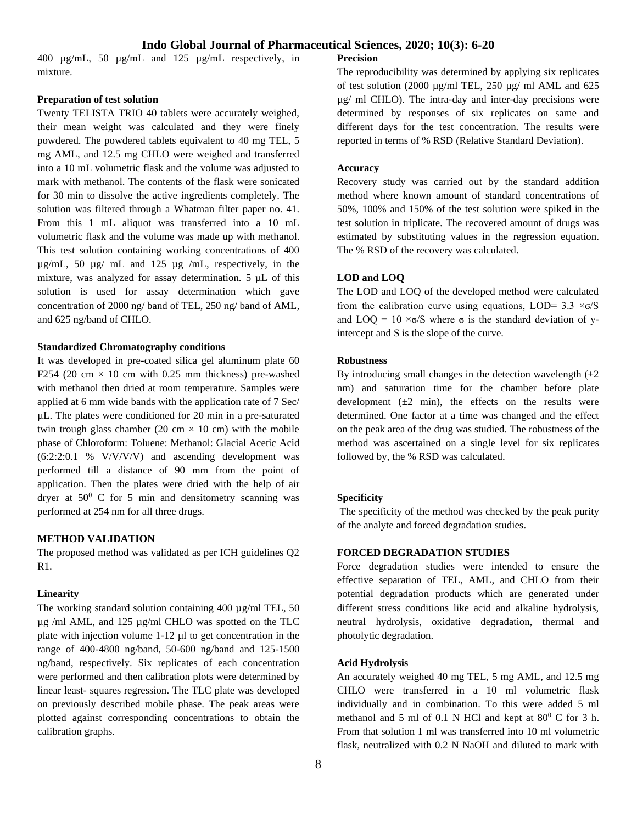400 µg/mL, 50 µg/mL and 125 µg/mL respectively, in mixture.

#### **Preparation of test solution**

Twenty TELISTA TRIO 40 tablets were accurately weighed, their mean weight was calculated and they were finely powdered. The powdered tablets equivalent to 40 mg TEL, 5 mg AML, and 12.5 mg CHLO were weighed and transferred into a 10 mL volumetric flask and the volume was adjusted to mark with methanol. The contents of the flask were sonicated for 30 min to dissolve the active ingredients completely. The solution was filtered through a Whatman filter paper no. 41. From this 1 mL aliquot was transferred into a 10 mL volumetric flask and the volume was made up with methanol. This test solution containing working concentrations of 400 µg/mL, 50 µg/ mL and 125 µg /mL, respectively, in the mixture, was analyzed for assay determination. 5  $\mu$ L of this solution is used for assay determination which gave concentration of 2000 ng/ band of TEL, 250 ng/ band of AML, and 625 ng/band of CHLO.

#### **Standardized Chromatography conditions**

It was developed in pre-coated silica gel aluminum plate 60 F254 (20 cm  $\times$  10 cm with 0.25 mm thickness) pre-washed with methanol then dried at room temperature. Samples were applied at 6 mm wide bands with the application rate of 7 Sec/ µL. The plates were conditioned for 20 min in a pre-saturated twin trough glass chamber (20 cm  $\times$  10 cm) with the mobile phase of Chloroform: Toluene: Methanol: Glacial Acetic Acid (6:2:2:0.1 % V/V/V/V) and ascending development was performed till a distance of 90 mm from the point of application. Then the plates were dried with the help of air dryer at  $50^0$  C for 5 min and densitometry scanning was performed at 254 nm for all three drugs.

#### **METHOD VALIDATION**

The proposed method was validated as per ICH guidelines Q2  $R1$ 

#### **Linearity**

The working standard solution containing 400  $\mu$ g/ml TEL, 50 µg /ml AML, and 125 µg/ml CHLO was spotted on the TLC plate with injection volume 1-12 µl to get concentration in the range of 400-4800 ng/band, 50-600 ng/band and 125-1500 ng/band, respectively. Six replicates of each concentration were performed and then calibration plots were determined by linear least- squares regression. The TLC plate was developed on previously described mobile phase. The peak areas were plotted against corresponding concentrations to obtain the calibration graphs.

**Precision**

The reproducibility was determined by applying six replicates of test solution (2000  $\mu$ g/ml TEL, 250  $\mu$ g/ml AML and 625 µg/ ml CHLO). The intra-day and inter-day precisions were determined by responses of six replicates on same and different days for the test concentration. The results were reported in terms of % RSD (Relative Standard Deviation).

#### **Accuracy**

Recovery study was carried out by the standard addition method where known amount of standard concentrations of 50%, 100% and 150% of the test solution were spiked in the test solution in triplicate. The recovered amount of drugs was estimated by substituting values in the regression equation. The % RSD of the recovery was calculated.

#### **LOD and LOQ**

The LOD and LOQ of the developed method were calculated from the calibration curve using equations, LOD=  $3.3 \times 6/S$ and  $\text{LOQ} = 10 \times 6/\text{S}$  where  $\sigma$  is the standard deviation of yintercept and S is the slope of the curve.

#### **Robustness**

By introducing small changes in the detection wavelength  $(\pm 2)$ nm) and saturation time for the chamber before plate development  $(\pm 2 \text{ min})$ , the effects on the results were determined. One factor at a time was changed and the effect on the peak area of the drug was studied. The robustness of the method was ascertained on a single level for six replicates followed by, the % RSD was calculated.

#### **Specificity**

The specificity of the method was checked by the peak purity of the analyte and forced degradation studies.

#### **FORCED DEGRADATION STUDIES**

Force degradation studies were intended to ensure the effective separation of TEL, AML, and CHLO from their potential degradation products which are generated under different stress conditions like acid and alkaline hydrolysis, neutral hydrolysis, oxidative degradation, thermal and photolytic degradation.

#### **Acid Hydrolysis**

An accurately weighed 40 mg TEL, 5 mg AML, and 12.5 mg CHLO were transferred in a 10 ml volumetric flask individually and in combination. To this were added 5 ml methanol and 5 ml of 0.1 N HCl and kept at  $80^{\circ}$  C for 3 h. From that solution 1 ml was transferred into 10 ml volumetric flask, neutralized with 0.2 N NaOH and diluted to mark with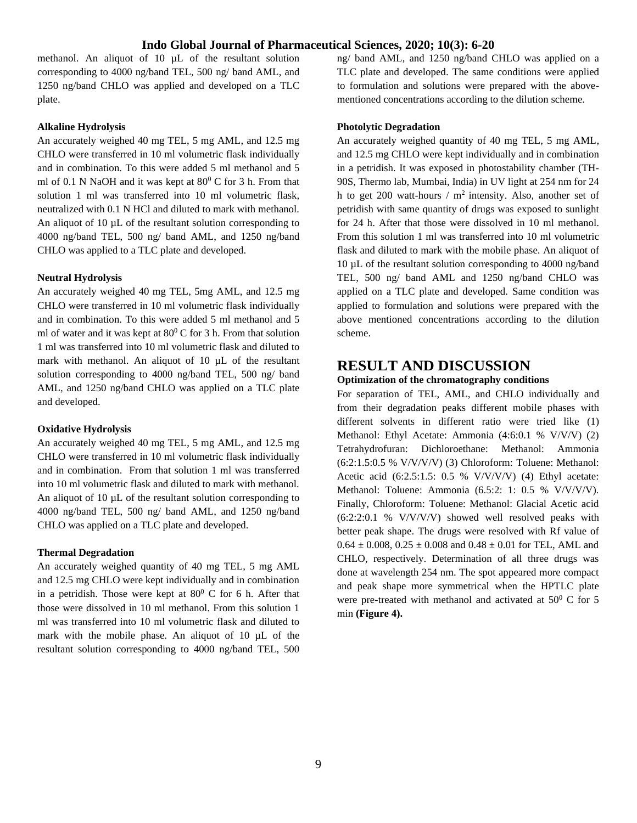methanol. An aliquot of 10 µL of the resultant solution corresponding to 4000 ng/band TEL, 500 ng/ band AML, and 1250 ng/band CHLO was applied and developed on a TLC plate.

#### **Alkaline Hydrolysis**

An accurately weighed 40 mg TEL, 5 mg AML, and 12.5 mg CHLO were transferred in 10 ml volumetric flask individually and in combination. To this were added 5 ml methanol and 5 ml of 0.1 N NaOH and it was kept at  $80^{\circ}$  C for 3 h. From that solution 1 ml was transferred into 10 ml volumetric flask, neutralized with 0.1 N HCl and diluted to mark with methanol. An aliquot of 10  $\mu$ L of the resultant solution corresponding to 4000 ng/band TEL, 500 ng/ band AML, and 1250 ng/band CHLO was applied to a TLC plate and developed.

#### **Neutral Hydrolysis**

An accurately weighed 40 mg TEL, 5mg AML, and 12.5 mg CHLO were transferred in 10 ml volumetric flask individually and in combination. To this were added 5 ml methanol and 5 ml of water and it was kept at  $80^{\circ}$  C for 3 h. From that solution 1 ml was transferred into 10 ml volumetric flask and diluted to mark with methanol. An aliquot of 10 µL of the resultant solution corresponding to 4000 ng/band TEL, 500 ng/ band AML, and 1250 ng/band CHLO was applied on a TLC plate and developed.

#### **Oxidative Hydrolysis**

An accurately weighed 40 mg TEL, 5 mg AML, and 12.5 mg CHLO were transferred in 10 ml volumetric flask individually and in combination. From that solution 1 ml was transferred into 10 ml volumetric flask and diluted to mark with methanol. An aliquot of 10  $\mu$ L of the resultant solution corresponding to 4000 ng/band TEL, 500 ng/ band AML, and 1250 ng/band CHLO was applied on a TLC plate and developed.

#### **Thermal Degradation**

An accurately weighed quantity of 40 mg TEL, 5 mg AML and 12.5 mg CHLO were kept individually and in combination in a petridish. Those were kept at  $80^{\circ}$  C for 6 h. After that those were dissolved in 10 ml methanol. From this solution 1 ml was transferred into 10 ml volumetric flask and diluted to mark with the mobile phase. An aliquot of 10 µL of the resultant solution corresponding to 4000 ng/band TEL, 500

ng/ band AML, and 1250 ng/band CHLO was applied on a TLC plate and developed. The same conditions were applied to formulation and solutions were prepared with the abovementioned concentrations according to the dilution scheme.

#### **Photolytic Degradation**

An accurately weighed quantity of 40 mg TEL, 5 mg AML, and 12.5 mg CHLO were kept individually and in combination in a petridish. It was exposed in photostability chamber (TH-90S, Thermo lab, Mumbai, India) in UV light at 254 nm for 24 h to get 200 watt-hours /  $m<sup>2</sup>$  intensity. Also, another set of petridish with same quantity of drugs was exposed to sunlight for 24 h. After that those were dissolved in 10 ml methanol. From this solution 1 ml was transferred into 10 ml volumetric flask and diluted to mark with the mobile phase. An aliquot of 10 µL of the resultant solution corresponding to 4000 ng/band TEL, 500 ng/ band AML and 1250 ng/band CHLO was applied on a TLC plate and developed. Same condition was applied to formulation and solutions were prepared with the above mentioned concentrations according to the dilution scheme.

# **RESULT AND DISCUSSION**

#### **Optimization of the chromatography conditions**

For separation of TEL, AML, and CHLO individually and from their degradation peaks different mobile phases with different solvents in different ratio were tried like (1) Methanol: Ethyl Acetate: Ammonia (4:6:0.1 % V/V/V) (2) Tetrahydrofuran: Dichloroethane: Methanol: Ammonia (6:2:1.5:0.5 % V/V/V/V) (3) Chloroform: Toluene: Methanol: Acetic acid (6:2.5:1.5: 0.5 % V/V/V/V) (4) Ethyl acetate: Methanol: Toluene: Ammonia (6.5:2: 1: 0.5 % V/V/V/V). Finally, Chloroform: Toluene: Methanol: Glacial Acetic acid  $(6:2:2:0.1 % V/V/V/V)$  showed well resolved peaks with better peak shape. The drugs were resolved with Rf value of  $0.64 \pm 0.008$ ,  $0.25 \pm 0.008$  and  $0.48 \pm 0.01$  for TEL, AML and CHLO, respectively. Determination of all three drugs was done at wavelength 254 nm. The spot appeared more compact and peak shape more symmetrical when the HPTLC plate were pre-treated with methanol and activated at  $50^0$  C for 5 min **(Figure 4).**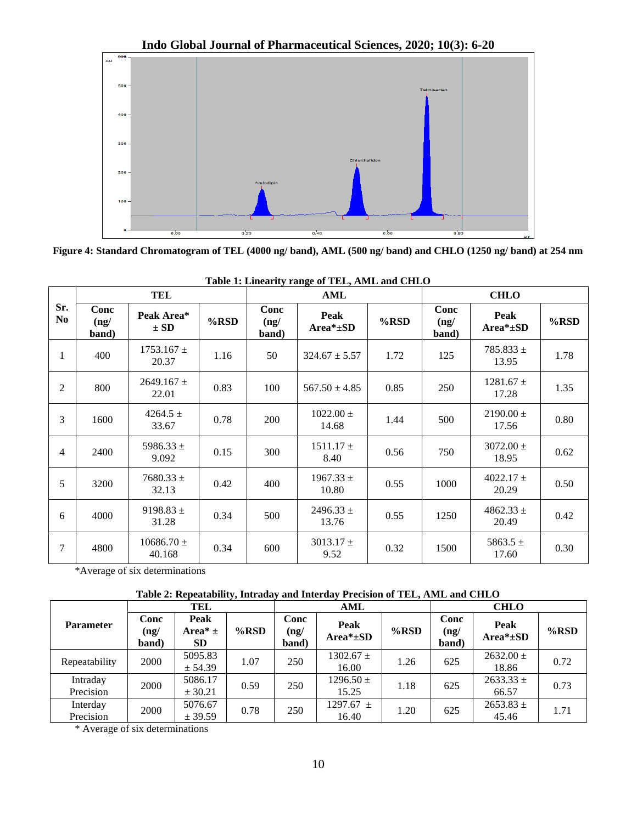

**Figure 4: Standard Chromatogram of TEL (4000 ng/ band), AML (500 ng/ band) and CHLO (1250 ng/ band) at 254 nm**

|                |                       | TEL                      |      |                       | AML                     |      | <b>CHLO</b>           |                                |      |  |
|----------------|-----------------------|--------------------------|------|-----------------------|-------------------------|------|-----------------------|--------------------------------|------|--|
| Sr.<br>No      | Conc<br>(ng/<br>band) | Peak Area*<br>$\pm SD$   | %RSD | Conc<br>(ng/<br>band) | Peak<br>$Area*_{\pm}SD$ | %RSD | Conc<br>(ng/<br>band) | <b>Peak</b><br>$Area*_{\pm}SD$ | %RSD |  |
| 1              | 400                   | $1753.167 \pm$<br>20.37  | 1.16 | 50                    | $324.67 \pm 5.57$       | 1.72 | 125                   | $785.833 \pm$<br>13.95         | 1.78 |  |
| 2              | 800                   | $2649.167 \pm$<br>22.01  | 0.83 | 100                   | $567.50 \pm 4.85$       | 0.85 | 250                   | $1281.67 \pm$<br>17.28         | 1.35 |  |
| 3              | 1600                  | 4264.5 $\pm$<br>33.67    | 0.78 | 200                   | $1022.00 \pm$<br>14.68  | 1.44 | 500                   | $2190.00 \pm$<br>17.56         | 0.80 |  |
| $\overline{4}$ | 2400                  | 5986.33 $\pm$<br>9.092   | 0.15 | 300                   | $1511.17 \pm$<br>8.40   | 0.56 | 750                   | $3072.00 \pm$<br>18.95         | 0.62 |  |
| 5              | 3200                  | $7680.33 \pm$<br>32.13   | 0.42 | 400                   | $1967.33 \pm$<br>10.80  | 0.55 | 1000                  | $4022.17 \pm$<br>20.29         | 0.50 |  |
| 6              | 4000                  | 9198.83 $\pm$<br>31.28   | 0.34 | 500                   | $2496.33 \pm$<br>13.76  | 0.55 | 1250                  | $4862.33 \pm$<br>20.49         | 0.42 |  |
| 7              | 4800                  | $10686.70 \pm$<br>40.168 | 0.34 | 600                   | $3013.17 \pm$<br>9.52   | 0.32 | 1500                  | 5863.5 $\pm$<br>17.60          | 0.30 |  |

| Table 1: Linearity range of TEL, AML and CHLO |  |  |
|-----------------------------------------------|--|--|
|-----------------------------------------------|--|--|

\*Average of six determinations

# **Table 2: Repeatability, Intraday and Interday Precision of TEL, AML and CHLO**

|                       | TEL                   |                                              |         |                       | AML                     |         | <b>CHLO</b>           |                         |         |
|-----------------------|-----------------------|----------------------------------------------|---------|-----------------------|-------------------------|---------|-----------------------|-------------------------|---------|
| <b>Parameter</b>      | Conc<br>(ng/<br>band) | Peak<br>Area <sup>*</sup> $\pm$<br><b>SD</b> | $%$ RSD | Conc<br>(ng/<br>band) | Peak<br>$Area*_{\pm}SD$ | $%$ RSD | Conc<br>(ng/<br>band) | Peak<br>$Area*_{\pm}SD$ | $%$ RSD |
| Repeatability         | 2000                  | 5095.83<br>± 54.39                           | 1.07    | 250                   | $1302.67 \pm$<br>16.00  | 1.26    | 625                   | $2632.00 \pm$<br>18.86  | 0.72    |
| Intraday<br>Precision | 2000                  | 5086.17<br>± 30.21                           | 0.59    | 250                   | $1296.50 \pm$<br>15.25  | 1.18    | 625                   | $2633.33 \pm$<br>66.57  | 0.73    |
| Interday<br>Precision | 2000                  | 5076.67<br>± 39.59                           | 0.78    | 250                   | 1297.67 $\pm$<br>16.40  | 1.20    | 625                   | $2653.83 \pm$<br>45.46  | 1.71    |

\* Average of six determinations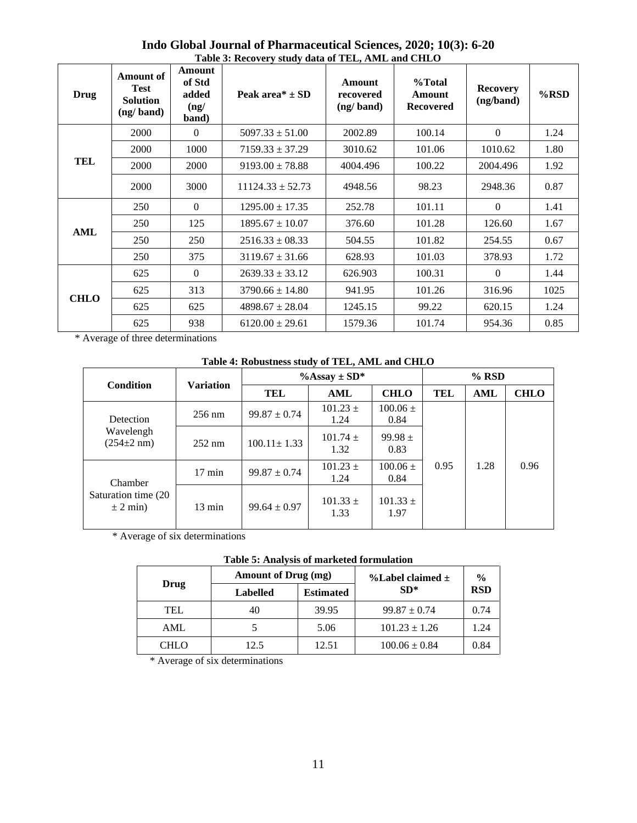| Drug        | <b>Amount of</b><br><b>Test</b><br><b>Solution</b><br>(ng/band) | Amount<br>of Std<br>added<br>(ng/<br>band) | Peak area <sup>*</sup> $\pm$ SD | <b>Amount</b><br>recovered<br>(ng/band) | %Total<br><b>Amount</b><br><b>Recovered</b> | <b>Recovery</b><br>(ng/band) | %RSD |
|-------------|-----------------------------------------------------------------|--------------------------------------------|---------------------------------|-----------------------------------------|---------------------------------------------|------------------------------|------|
|             | 2000                                                            | $\theta$                                   | $5097.33 \pm 51.00$             | 2002.89                                 | 100.14                                      | $\Omega$                     | 1.24 |
|             | 2000                                                            | 1000                                       | $7159.33 \pm 37.29$             | 3010.62                                 | 101.06                                      | 1010.62                      | 1.80 |
| TEL         | 2000                                                            | 2000                                       | $9193.00 \pm 78.88$             | 4004.496                                | 100.22                                      | 2004.496                     | 1.92 |
|             | 2000                                                            | 3000                                       | $11124.33 \pm 52.73$            | 4948.56                                 | 98.23                                       | 2948.36                      | 0.87 |
|             | 250                                                             | $\Omega$                                   | $1295.00 \pm 17.35$             | 252.78                                  | 101.11                                      | $\theta$                     | 1.41 |
| <b>AML</b>  | 250                                                             | 125                                        | $1895.67 \pm 10.07$             | 376.60                                  | 101.28                                      | 126.60                       | 1.67 |
|             | 250                                                             | 250                                        | $2516.33 \pm 08.33$             | 504.55                                  | 101.82                                      | 254.55                       | 0.67 |
|             | 250                                                             | 375                                        | $3119.67 \pm 31.66$             | 628.93                                  | 101.03                                      | 378.93                       | 1.72 |
|             | 625                                                             | $\Omega$                                   | $2639.33 \pm 33.12$             | 626.903                                 | 100.31                                      | $\Omega$                     | 1.44 |
|             | 625                                                             | 313                                        | $3790.66 \pm 14.80$             | 941.95                                  | 101.26                                      | 316.96                       | 1025 |
| <b>CHLO</b> | 625                                                             | 625                                        | $4898.67 \pm 28.04$             | 1245.15                                 | 99.22                                       | 620.15                       | 1.24 |
|             | 625                                                             | 938                                        | $6120.00 \pm 29.61$             | 1579.36                                 | 101.74                                      | 954.36                       | 0.85 |

# **Indo Global Journal of Pharmaceutical Sciences, 2020; 10(3): 6-20 Table 3: Recovery study data of TEL, AML and CHLO**

\* Average of three determinations

### **Table 4: Robustness study of TEL, AML and CHLO**

| <b>Condition</b>                      | <b>Variation</b> |                   | % Assay $\pm$ SD*    | $%$ RSD              |      |      |             |
|---------------------------------------|------------------|-------------------|----------------------|----------------------|------|------|-------------|
|                                       |                  | TEL               | <b>AML</b>           | <b>CHLO</b>          | TEL  | AML  | <b>CHLO</b> |
| Detection                             | $256 \text{ nm}$ | $99.87 \pm 0.74$  | $101.23 \pm$<br>1.24 | $100.06 \pm$<br>0.84 |      |      |             |
| Wavelengh<br>$(254 \pm 2 \text{ nm})$ | $252 \text{ nm}$ | $100.11 \pm 1.33$ | $101.74 +$<br>1.32   | $99.98 +$<br>0.83    |      |      |             |
| Chamber                               | $17 \text{ min}$ | $99.87 \pm 0.74$  | $101.23 +$<br>1.24   | $100.06 \pm$<br>0.84 | 0.95 | 1.28 | 0.96        |
| Saturation time (20)<br>$\pm$ 2 min)  | $13 \text{ min}$ | $99.64 \pm 0.97$  | $101.33 +$<br>1.33   | $101.33 +$<br>1.97   |      |      |             |

\* Average of six determinations

# **Table 5: Analysis of marketed formulation**

|             | Amount of Drug (mg) |                  | %Label claimed $\pm$ | $\frac{0}{0}$ |  |
|-------------|---------------------|------------------|----------------------|---------------|--|
| Drug        | <b>Labelled</b>     | <b>Estimated</b> | $SD*$                | <b>RSD</b>    |  |
| TEL         | 40                  | 39.95            | $99.87 \pm 0.74$     | 0.74          |  |
| AML.        |                     | 5.06             | $101.23 \pm 1.26$    | 1.24          |  |
| <b>CHLO</b> | 12.5                | 12.51            | $100.06 \pm 0.84$    | 0.84          |  |

\* Average of six determinations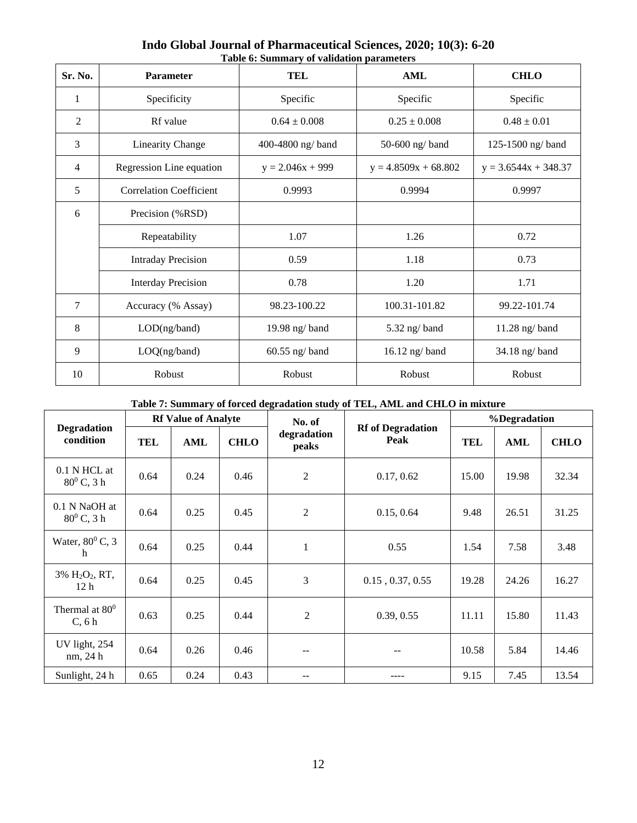| Sr. No.        | <b>Parameter</b>               | <b>TEL</b>         | AML                    | <b>CHLO</b>            |  |
|----------------|--------------------------------|--------------------|------------------------|------------------------|--|
| 1              | Specificity                    | Specific           | Specific               | Specific               |  |
| 2              | Rf value                       | $0.64 \pm 0.008$   | $0.25 \pm 0.008$       | $0.48 \pm 0.01$        |  |
| 3              | <b>Linearity Change</b>        | 400-4800 ng/band   | 50-600 ng/band         | 125-1500 ng/band       |  |
| $\overline{4}$ | Regression Line equation       | $y = 2.046x + 999$ | $y = 4.8509x + 68.802$ | $y = 3.6544x + 348.37$ |  |
| 5              | <b>Correlation Coefficient</b> | 0.9993             | 0.9994                 | 0.9997                 |  |
| 6              | Precision (%RSD)               |                    |                        |                        |  |
|                | Repeatability                  | 1.07               | 1.26                   | 0.72                   |  |
|                | <b>Intraday Precision</b>      | 0.59               | 1.18                   | 0.73                   |  |
|                | <b>Interday Precision</b>      | 0.78               | 1.20                   | 1.71                   |  |
| $\overline{7}$ | Accuracy (% Assay)             | 98.23-100.22       | 100.31-101.82          | 99.22-101.74           |  |
| 8              | LOD(ng/band)                   | 19.98 ng/ $band$   | $5.32$ ng/band         | $11.28$ ng/band        |  |
| 9              | LOQ(ng/band)                   | $60.55$ ng/band    | $16.12$ ng/band        | 34.18 ng/band          |  |
| 10             | Robust                         | Robust             | Robust                 | Robust                 |  |

**Indo Global Journal of Pharmaceutical Sciences, 2020; 10(3): 6-20 Table 6: Summary of validation parameters**

**Table 7: Summary of forced degradation study of TEL, AML and CHLO in mixture**

|                                                           | <b>Rf Value of Analyte</b> |      |             | No. of               |                                  | %Degradation |       |             |
|-----------------------------------------------------------|----------------------------|------|-------------|----------------------|----------------------------------|--------------|-------|-------------|
| <b>Degradation</b><br>condition                           | TEL                        | AML  | <b>CHLO</b> | degradation<br>peaks | <b>Rf</b> of Degradation<br>Peak | <b>TEL</b>   | AML   | <b>CHLO</b> |
| 0.1 N HCL at<br>$80^0$ C, 3 h                             | 0.64                       | 0.24 | 0.46        | $\overline{2}$       | 0.17, 0.62                       | 15.00        | 19.98 | 32.34       |
| 0.1 N NaOH at<br>$80^0$ C, 3 h                            | 0.64                       | 0.25 | 0.45        | $\overline{2}$       | 0.15, 0.64                       | 9.48         | 26.51 | 31.25       |
| Water, $80^0$ C, 3<br>h                                   | 0.64                       | 0.25 | 0.44        | 1                    | 0.55                             | 1.54         | 7.58  | 3.48        |
| 3% H <sub>2</sub> O <sub>2</sub> , RT,<br>12 <sub>h</sub> | 0.64                       | 0.25 | 0.45        | 3                    | $0.15$ , $0.37$ , $0.55$         | 19.28        | 24.26 | 16.27       |
| Thermal at $80^0$<br>C, 6h                                | 0.63                       | 0.25 | 0.44        | $\overline{2}$       | 0.39, 0.55                       | 11.11        | 15.80 | 11.43       |
| UV light, 254<br>nm, 24 h                                 | 0.64                       | 0.26 | 0.46        | $- -$                | $- -$                            | 10.58        | 5.84  | 14.46       |
| Sunlight, 24 h                                            | 0.65                       | 0.24 | 0.43        |                      |                                  | 9.15         | 7.45  | 13.54       |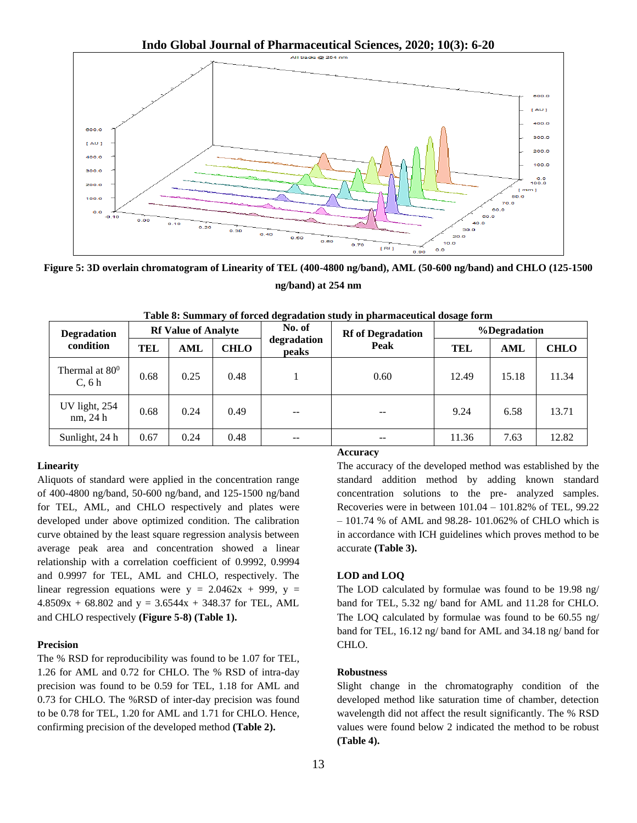**Indo Global Journal of Pharmaceutical Sciences, 2020; 10(3): 6-20**



**Figure 5: 3D overlain chromatogram of Linearity of TEL (400-4800 ng/band), AML (50-600 ng/band) and CHLO (125-1500 ng/band) at 254 nm**

| <b>Degradation</b>         | <b>Rf Value of Analyte</b> |      |             | No. of                   | <b>Rf</b> of Degradation | %Degradation |       |             |
|----------------------------|----------------------------|------|-------------|--------------------------|--------------------------|--------------|-------|-------------|
| condition                  | TEL                        | AML  | <b>CHLO</b> | degradation<br>peaks     | Peak                     | TEL          | AML   | <b>CHLO</b> |
| Thermal at $80^0$<br>C, 6h | 0.68                       | 0.25 | 0.48        |                          | 0.60                     | 12.49        | 15.18 | 11.34       |
| UV light, 254<br>nm, 24 h  | 0.68                       | 0.24 | 0.49        | $\overline{\phantom{m}}$ | --                       | 9.24         | 6.58  | 13.71       |
| Sunlight, 24 h             | 0.67                       | 0.24 | 0.48        | $\overline{\phantom{m}}$ | $- -$                    | 11.36        | 7.63  | 12.82       |

**Table 8: Summary of forced degradation study in pharmaceutical dosage form**

#### **Linearity**

Aliquots of standard were applied in the concentration range of 400-4800 ng/band, 50-600 ng/band, and 125-1500 ng/band for TEL, AML, and CHLO respectively and plates were developed under above optimized condition. The calibration curve obtained by the least square regression analysis between average peak area and concentration showed a linear relationship with a correlation coefficient of 0.9992, 0.9994 and 0.9997 for TEL, AML and CHLO, respectively. The linear regression equations were  $y = 2.0462x + 999$ ,  $y =$  $4.8509x + 68.802$  and  $y = 3.6544x + 348.37$  for TEL, AML and CHLO respectively **(Figure 5-8) (Table 1).**

#### **Precision**

The % RSD for reproducibility was found to be 1.07 for TEL, 1.26 for AML and 0.72 for CHLO. The % RSD of intra-day precision was found to be 0.59 for TEL, 1.18 for AML and 0.73 for CHLO. The %RSD of inter-day precision was found to be 0.78 for TEL, 1.20 for AML and 1.71 for CHLO. Hence, confirming precision of the developed method **(Table 2).**

#### **Accuracy**

The accuracy of the developed method was established by the standard addition method by adding known standard concentration solutions to the pre- analyzed samples. Recoveries were in between 101.04 – 101.82% of TEL, 99.22 – 101.74 % of AML and 98.28- 101.062% of CHLO which is in accordance with ICH guidelines which proves method to be accurate **(Table 3).**

#### **LOD and LOQ**

The LOD calculated by formulae was found to be 19.98 ng/ band for TEL, 5.32 ng/ band for AML and 11.28 for CHLO. The LOQ calculated by formulae was found to be 60.55 ng/ band for TEL, 16.12 ng/ band for AML and 34.18 ng/ band for CHLO.

#### **Robustness**

Slight change in the chromatography condition of the developed method like saturation time of chamber, detection wavelength did not affect the result significantly. The % RSD values were found below 2 indicated the method to be robust **(Table 4).**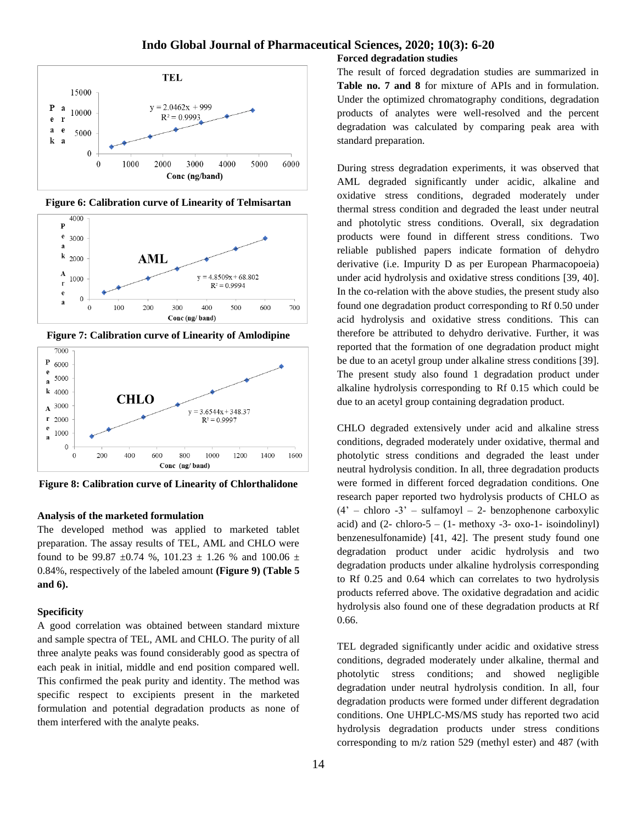

**Figure 6: Calibration curve of Linearity of Telmisartan**



**Figure 7: Calibration curve of Linearity of Amlodipine**



**Figure 8: Calibration curve of Linearity of Chlorthalidone**

#### **Analysis of the marketed formulation**

The developed method was applied to marketed tablet preparation. The assay results of TEL, AML and CHLO were found to be 99.87  $\pm 0.74$  %, 101.23  $\pm$  1.26 % and 100.06  $\pm$ 0.84%, respectively of the labeled amount **(Figure 9) (Table 5 and 6).**

#### **Specificity**

A good correlation was obtained between standard mixture and sample spectra of TEL, AML and CHLO. The purity of all three analyte peaks was found considerably good as spectra of each peak in initial, middle and end position compared well. This confirmed the peak purity and identity. The method was specific respect to excipients present in the marketed formulation and potential degradation products as none of them interfered with the analyte peaks.

The result of forced degradation studies are summarized in **Table no. 7 and 8** for mixture of APIs and in formulation. Under the optimized chromatography conditions, degradation products of analytes were well-resolved and the percent degradation was calculated by comparing peak area with standard preparation.

**Forced degradation studies**

During stress degradation experiments, it was observed that AML degraded significantly under acidic, alkaline and oxidative stress conditions, degraded moderately under thermal stress condition and degraded the least under neutral and photolytic stress conditions. Overall, six degradation products were found in different stress conditions. Two reliable published papers indicate formation of dehydro derivative (i.e. Impurity D as per European Pharmacopoeia) under acid hydrolysis and oxidative stress conditions [39, 40]. In the co-relation with the above studies, the present study also found one degradation product corresponding to Rf 0.50 under acid hydrolysis and oxidative stress conditions. This can therefore be attributed to dehydro derivative. Further, it was reported that the formation of one degradation product might be due to an acetyl group under alkaline stress conditions [39]. The present study also found 1 degradation product under alkaline hydrolysis corresponding to Rf 0.15 which could be due to an acetyl group containing degradation product.

CHLO degraded extensively under acid and alkaline stress conditions, degraded moderately under oxidative, thermal and photolytic stress conditions and degraded the least under neutral hydrolysis condition. In all, three degradation products were formed in different forced degradation conditions. One research paper reported two hydrolysis products of CHLO as  $(4' -$  chloro  $-3' -$  sulfamoyl – 2- benzophenone carboxylic acid) and  $(2-\text{chloro-5} - (1-\text{methoxy -3- oxo-1- isoindolinyl})$ benzenesulfonamide) [41, 42]. The present study found one degradation product under acidic hydrolysis and two degradation products under alkaline hydrolysis corresponding to Rf 0.25 and 0.64 which can correlates to two hydrolysis products referred above. The oxidative degradation and acidic hydrolysis also found one of these degradation products at Rf 0.66.

TEL degraded significantly under acidic and oxidative stress conditions, degraded moderately under alkaline, thermal and photolytic stress conditions; and showed negligible degradation under neutral hydrolysis condition. In all, four degradation products were formed under different degradation conditions. One UHPLC-MS/MS study has reported two acid hydrolysis degradation products under stress conditions corresponding to m/z ration 529 (methyl ester) and 487 (with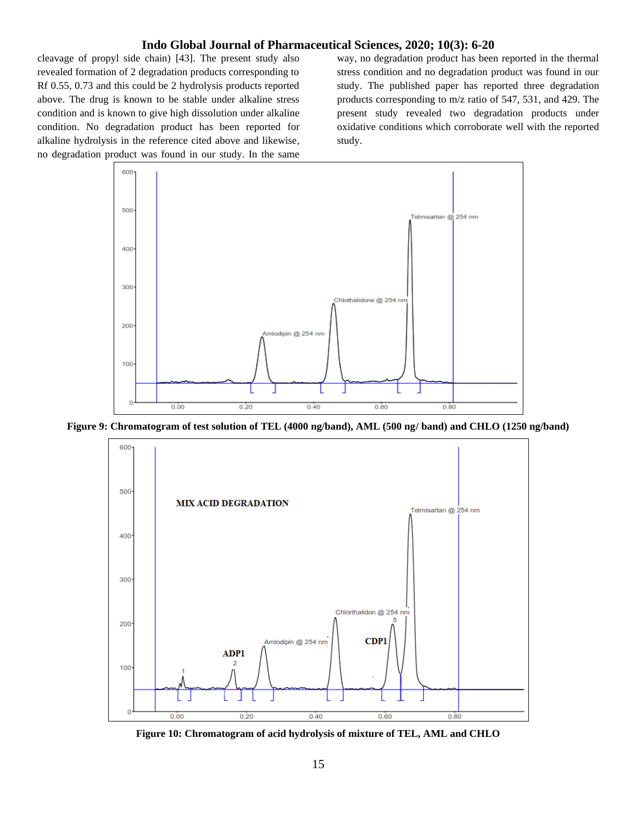cleavage of propyl side chain) [43]. The present study also revealed formation of 2 degradation products corresponding to Rf 0.55, 0.73 and this could be 2 hydrolysis products reported above. The drug is known to be stable under alkaline stress condition and is known to give high dissolution under alkaline condition. No degradation product has been reported for alkaline hydrolysis in the reference cited above and likewise, no degradation product was found in our study. In the same

way, no degradation product has been reported in the thermal stress condition and no degradation product was found in our study. The published paper has reported three degradation products corresponding to m/z ratio of 547, 531, and 429. The present study revealed two degradation products under oxidative conditions which corroborate well with the reported study.



**Figure 9: Chromatogram of test solution of TEL (4000 ng/band), AML (500 ng/ band) and CHLO (1250 ng/band)**



**Figure 10: Chromatogram of acid hydrolysis of mixture of TEL, AML and CHLO**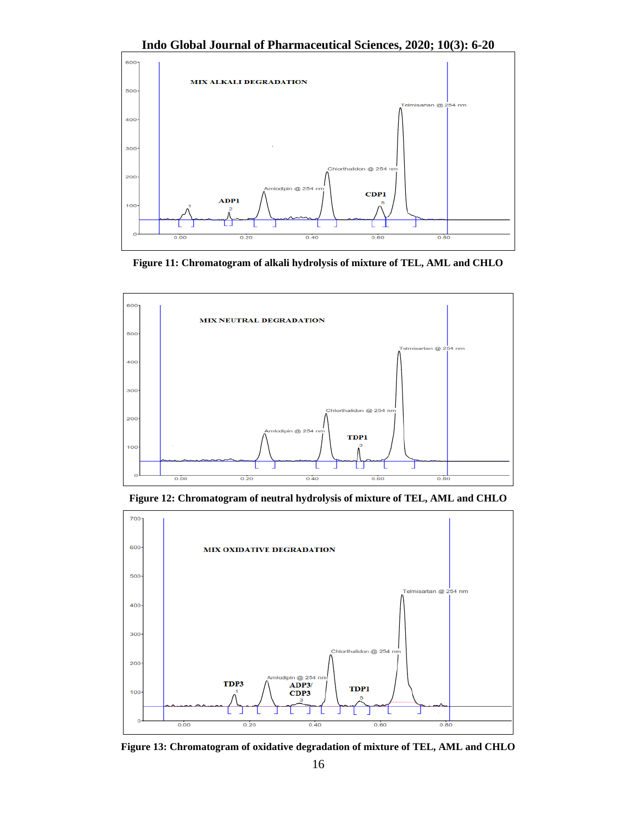**Indo Global Journal of Pharmaceutical Sciences, 2020; 10(3): 6-20**



**Figure 11: Chromatogram of alkali hydrolysis of mixture of TEL, AML and CHLO**



**Figure 12: Chromatogram of neutral hydrolysis of mixture of TEL, AML and CHLO**



**Figure 13: Chromatogram of oxidative degradation of mixture of TEL, AML and CHLO**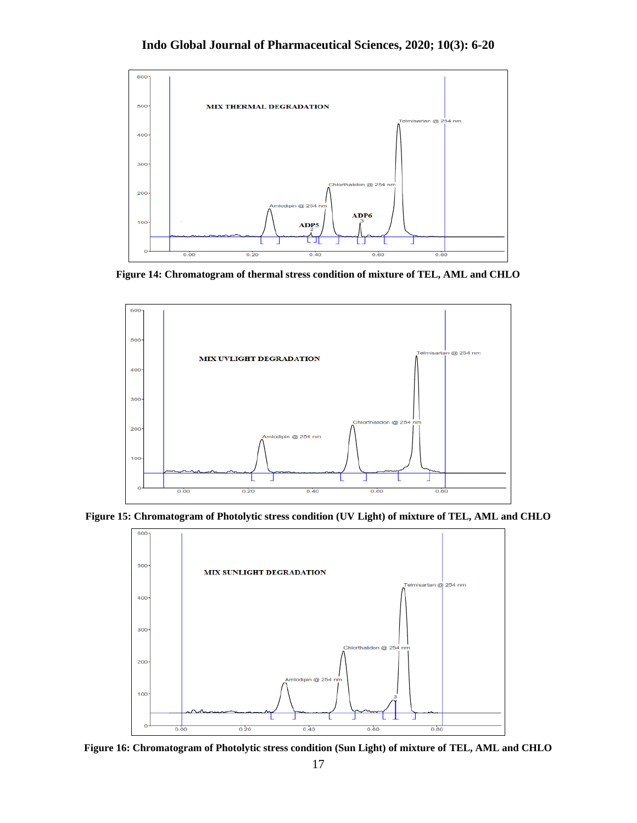

**Figure 14: Chromatogram of thermal stress condition of mixture of TEL, AML and CHLO**



**Figure 15: Chromatogram of Photolytic stress condition (UV Light) of mixture of TEL, AML and CHLO**



**Figure 16: Chromatogram of Photolytic stress condition (Sun Light) of mixture of TEL, AML and CHLO**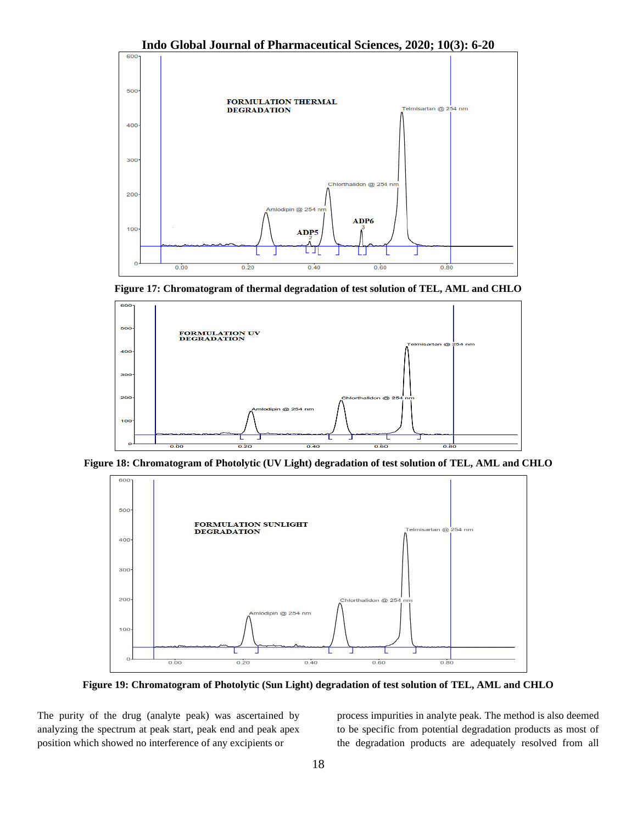

**Figure 17: Chromatogram of thermal degradation of test solution of TEL, AML and CHLO**



**Figure 18: Chromatogram of Photolytic (UV Light) degradation of test solution of TEL, AML and CHLO**



**Figure 19: Chromatogram of Photolytic (Sun Light) degradation of test solution of TEL, AML and CHLO**

The purity of the drug (analyte peak) was ascertained by analyzing the spectrum at peak start, peak end and peak apex position which showed no interference of any excipients or

process impurities in analyte peak. The method is also deemed to be specific from potential degradation products as most of the degradation products are adequately resolved from all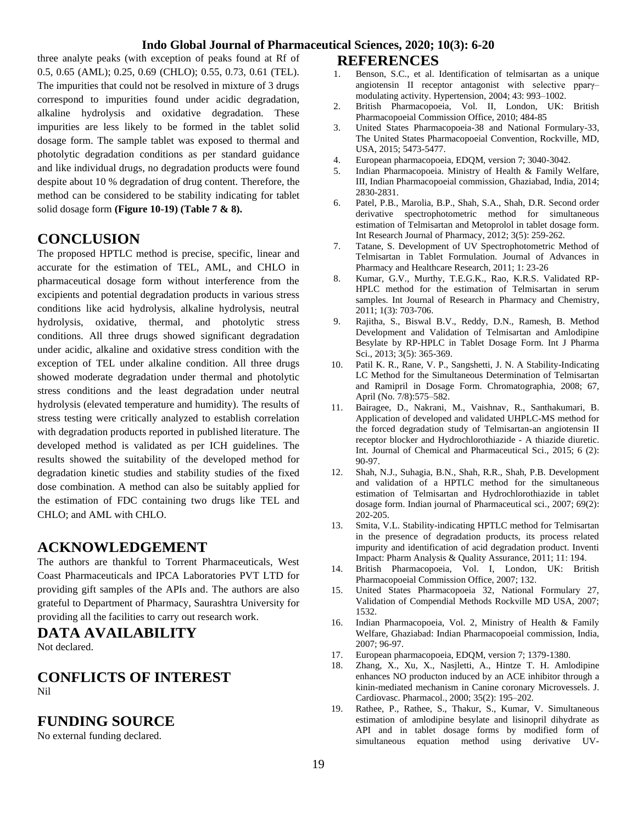three analyte peaks (with exception of peaks found at Rf of 0.5, 0.65 (AML); 0.25, 0.69 (CHLO); 0.55, 0.73, 0.61 (TEL). The impurities that could not be resolved in mixture of 3 drugs correspond to impurities found under acidic degradation, alkaline hydrolysis and oxidative degradation. These impurities are less likely to be formed in the tablet solid dosage form. The sample tablet was exposed to thermal and photolytic degradation conditions as per standard guidance and like individual drugs, no degradation products were found despite about 10 % degradation of drug content. Therefore, the method can be considered to be stability indicating for tablet solid dosage form **(Figure 10-19) (Table 7 & 8).**

# **CONCLUSION**

The proposed HPTLC method is precise, specific, linear and accurate for the estimation of TEL, AML, and CHLO in pharmaceutical dosage form without interference from the excipients and potential degradation products in various stress conditions like acid hydrolysis, alkaline hydrolysis, neutral hydrolysis, oxidative, thermal, and photolytic stress conditions. All three drugs showed significant degradation under acidic, alkaline and oxidative stress condition with the exception of TEL under alkaline condition. All three drugs showed moderate degradation under thermal and photolytic stress conditions and the least degradation under neutral hydrolysis (elevated temperature and humidity). The results of stress testing were critically analyzed to establish correlation with degradation products reported in published literature. The developed method is validated as per ICH guidelines. The results showed the suitability of the developed method for degradation kinetic studies and stability studies of the fixed dose combination. A method can also be suitably applied for the estimation of FDC containing two drugs like TEL and CHLO; and AML with CHLO.

# **ACKNOWLEDGEMENT**

The authors are thankful to Torrent Pharmaceuticals, West Coast Pharmaceuticals and IPCA Laboratories PVT LTD for providing gift samples of the APIs and. The authors are also grateful to Department of Pharmacy, Saurashtra University for providing all the facilities to carry out research work.

# **DATA AVAILABILITY**

Not declared.

# **CONFLICTS OF INTEREST** Nil

# **FUNDING SOURCE**

No external funding declared.

### **REFERENCES**

- 1. Benson, S.C., et al. Identification of telmisartan as a unique angiotensin II receptor antagonist with selective pparγ– modulating activity. Hypertension, 2004; 43: 993–1002.
- 2. British Pharmacopoeia, Vol. II, London, UK: British Pharmacopoeial Commission Office, 2010; 484-85
- 3. United States Pharmacopoeia-38 and National Formulary-33, The United States Pharmacopoeial Convention, Rockville, MD, USA, 2015; 5473-5477.
- 4. European pharmacopoeia, EDQM, version 7; 3040-3042.
- 5. Indian Pharmacopoeia. Ministry of Health & Family Welfare, III, Indian Pharmacopoeial commission, Ghaziabad, India, 2014; 2830-2831.
- 6. Patel, P.B., Marolia, B.P., Shah, S.A., Shah, D.R. Second order derivative spectrophotometric method for simultaneous estimation of Telmisartan and Metoprolol in tablet dosage form. Int Research Journal of Pharmacy, 2012; 3(5): 259-262.
- 7. Tatane, S. Development of UV Spectrophotometric Method of Telmisartan in Tablet Formulation. Journal of Advances in Pharmacy and Healthcare Research, 2011; 1: 23-26
- 8. Kumar, G.V., Murthy, T.E.G.K., Rao, K.R.S. Validated RP-HPLC method for the estimation of Telmisartan in serum samples. Int Journal of Research in Pharmacy and Chemistry, 2011; 1(3): 703-706.
- 9. Rajitha, S., Biswal B.V., Reddy, D.N., Ramesh, B. Method Development and Validation of Telmisartan and Amlodipine Besylate by RP-HPLC in Tablet Dosage Form. Int J Pharma Sci., 2013; 3(5): 365-369.
- 10. Patil K. R., Rane, V. P., Sangshetti, J. N. A Stability-Indicating LC Method for the Simultaneous Determination of Telmisartan and Ramipril in Dosage Form. Chromatographia, 2008; 67, April (No. 7/8):575–582.
- 11. Bairagee, D., Nakrani, M., Vaishnav, R., Santhakumari, B. Application of developed and validated UHPLC-MS method for the forced degradation study of Telmisartan-an angiotensin II receptor blocker and Hydrochlorothiazide - A thiazide diuretic. Int. Journal of Chemical and Pharmaceutical Sci., 2015; 6 (2): 90-97.
- 12. Shah, N.J., Suhagia, B.N., Shah, R.R., Shah, P.B. Development and validation of a HPTLC method for the simultaneous estimation of Telmisartan and Hydrochlorothiazide in tablet dosage form. Indian journal of Pharmaceutical sci., 2007; 69(2): 202-205.
- 13. Smita, V.L. Stability-indicating HPTLC method for Telmisartan in the presence of degradation products, its process related impurity and identification of acid degradation product. Inventi Impact: Pharm Analysis & Quality Assurance, 2011; 11: 194.
- 14. British Pharmacopoeia, Vol. I, London, UK: British Pharmacopoeial Commission Office, 2007; 132.
- 15. United States Pharmacopoeia 32, National Formulary 27, Validation of Compendial Methods Rockville MD USA, 2007; 1532.
- 16. Indian Pharmacopoeia, Vol. 2, Ministry of Health & Family Welfare, Ghaziabad: Indian Pharmacopoeial commission, India, 2007; 96-97.
- 17. European pharmacopoeia, EDQM, version 7; 1379-1380.
- 18. Zhang, X., Xu, X., Nasjletti, A., Hintze T. H. Amlodipine enhances NO producton induced by an ACE inhibitor through a kinin-mediated mechanism in Canine coronary Microvessels. J. Cardiovasc. Pharmacol., 2000; 35(2): 195–202.
- 19. Rathee, P., Rathee, S., Thakur, S., Kumar, V. Simultaneous estimation of amlodipine besylate and lisinopril dihydrate as API and in tablet dosage forms by modified form of simultaneous equation method using derivative UV-